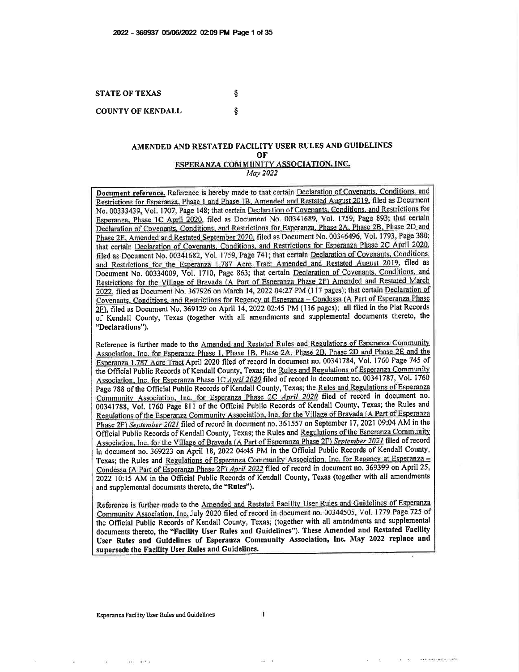**STATE OF TEXAS** ş **COUNTY OF KENDALL** ş

#### AMENDED AND RESTATED FACILITY USER RULES AND GUIDELINES OF ESPERANZA COMMUNITY ASSOCIATION, INC. May 2022

Document reference. Reference is hereby made to that certain Declaration of Covenants, Conditions, and Restrictions for Esperanza, Phase 1 and Phase 1B, Amended and Restated August 2019, filed as Document No. 00333439, Vol. 1707, Page 148; that certain Declaration of Covenants. Conditions, and Restrictions for Esperanza, Phase 1C April 2020, filed as Document No. 00341689, Vol. 1759, Page 893; that certain Declaration of Covenants, Conditions, and Restrictions for Esperanza, Phase 2A, Phase 2B, Phase 2D and Phase 2E, Amended and Restated September 2020, filed as Document No. 00346496, Vol. 1793, Page 380; that certain Declaration of Covenants, Conditions, and Restrictions for Esperanza Phase 2C April 2020, filed as Document No. 00341682, Vol. 1759, Page 741; that certain Declaration of Covenants, Conditions, and Restrictions for the Esperanza 1.787 Acre Tract Amended and Restated August 2019, filed as Document No. 00334009, Vol. 1710, Page 863; that certain Declaration of Covenants, Conditions, and Restrictions for the Village of Bravada (A Part of Esperanza Phase 2F) Amended and Restated March 2022, filed as Document No. 367926 on March 14, 2022 04:27 PM (117 pages); that certain Declaration of Covenants, Conditions, and Restrictions for Regency at Esperanza - Condessa (A Part of Esperanza Phase 2F), filed as Document No. 369129 on April 14, 2022 02:45 PM (116 pages); all filed in the Plat Records of Kendall County, Texas (together with all amendments and supplemental documents thereto, the "Declarations").

Reference is further made to the Amended and Restated Rules and Regulations of Esperanza Community Association, Inc. for Esperanza Phase 1, Phase 1B, Phase 2A, Phase 2B, Phase 2D and Phase 2E and the Esperanza 1.787 Acre Tract April 2020 filed of record in document no. 00341784, Vol. 1760 Page 745 of the Official Public Records of Kendall County, Texas; the Rules and Regulations of Esperanza Community Association, Inc. for Esperanza Phase 1C April 2020 filed of record in document no. 00341787, Vol. 1760 Page 788 of the Official Public Records of Kendall County, Texas; the Rules and Regulations of Esperanza Community Association, Inc. for Esperanza Phase 2C April 2020 filed of record in document no. 00341788, Vol. 1760 Page 811 of the Official Public Records of Kendall County, Texas; the Rules and Regulations of the Esperanza Community Association, Inc. for the Village of Bravada (A Part of Esperanza Phase 2F) September 2021 filed of record in document no. 361557 on September 17, 2021 09:04 AM in the Official Public Records of Kendall County, Texas; the Rules and Regulations of the Esperanza Community Association, Inc. for the Village of Bravada (A Part of Esperanza Phase 2F) September 2021 filed of record in document no. 369223 on April 18, 2022 04:45 PM in the Official Public Records of Kendall County, Texas; the Rules and Regulations of Esperanza Community Association, Inc. for Regency at Esperanza -Condessa (A Part of Esperanza Phase 2F) April 2022 filed of record in document no. 369399 on April 25, 2022 10:15 AM in the Official Public Records of Kendall County, Texas (together with all amendments and supplemental documents thereto, the "Rules").

Reference is further made to the Amended and Restated Facility User Rules and Guidelines of Esperanza Community Association, Inc. July 2020 filed of record in document no. 00344505, Vol. 1779 Page 725 of the Official Public Records of Kendall County, Texas; (together with all amendments and supplemental documents thereto, the "Facility User Rules and Guidelines"). These Amended and Restated Facility User Rules and Guidelines of Esperanza Community Association, Inc. May 2022 replace and supersede the Facility User Rules and Guidelines.

Esperanza Facility User Rules and Guidelines

 $-40$ 

22) 19

Collins anticogramme more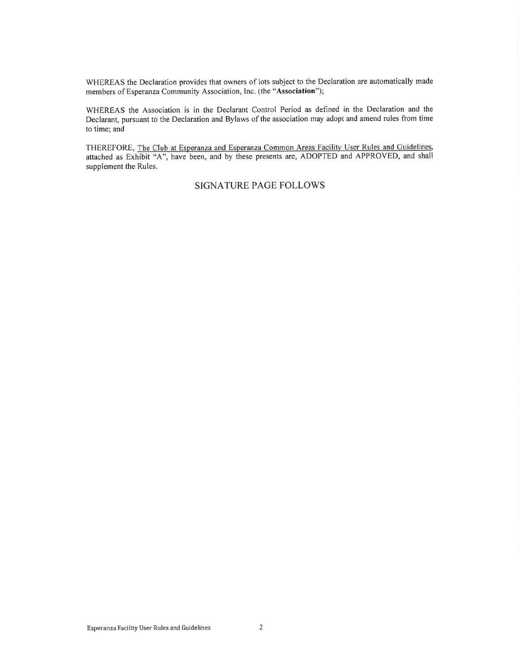WHEREAS the Declaration provides that owners of lots subject to the Declaration are automatically made members of Esperanza Community Association, Inc. (the "Association");

WHEREAS the Association is in the Declarant Control Period as defined in the Declaration and the Declarant, pursuant to the Declaration and Bylaws of the association may adopt and amend rules from time to time; and

THEREFORE, The Club at Esperanza and Esperanza Common Areas Facility User Rules and Guidelines, attached as Exhibit "A", have been, and by these presents are, ADOPTED and APPROVED, and shall supplement the Rules.

#### **SIGNATURE PAGE FOLLOWS**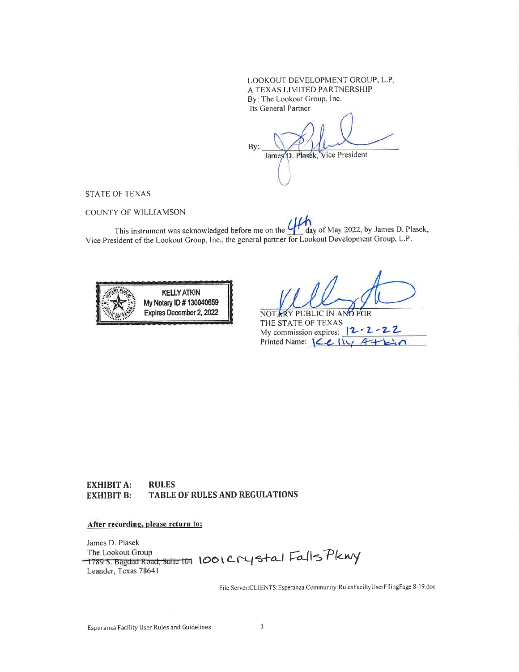LOOKOUT DEVELOPMENT GROUP, L.P. A TEXAS LIMITED PARTNERSHIP By: The Lookout Group, Inc. Its General Partner

By: Vice President James D. Plasek,

**STATE OF TEXAS** 

COUNTY OF WILLIAMSON

This instrument was acknowledged before me on the  $\frac{1}{x}$ day of May 2022, by James D. Plasek, Vice President of the Lookout Group, Inc., the general partner for Lookout Development Group, L.P.



FOR NOTARY PUBLIC IN AT THE STATE OF TEXAS My commission expires:  $|2 - 2 - 2|$ Printed Name:  $\mathcal{L}$   $\mathcal{L}$   $\mathcal{L}$   $\mathcal{L}$   $\mathcal{L}$   $\mathcal{L}$   $\mathcal{L}$ 

**EXHIBIT A: RULES** TABLE OF RULES AND REGULATIONS **EXHIBIT B:** 

#### After recording, please return to:

James D. Plasek

1789 S. Bagdad Road, Suite 109 1001 Crystal Falls Pkwy Leander, Texas 78641

File Server:CLIENTS: Esperanza Community: RulesFacilty UserFilingPage 8-19 doc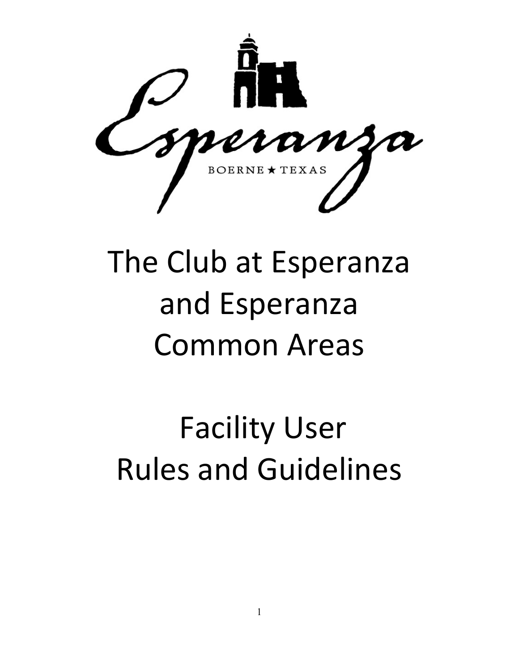

# The Club at Esperanza and Esperanza Common Areas

## Facility User Rules and Guidelines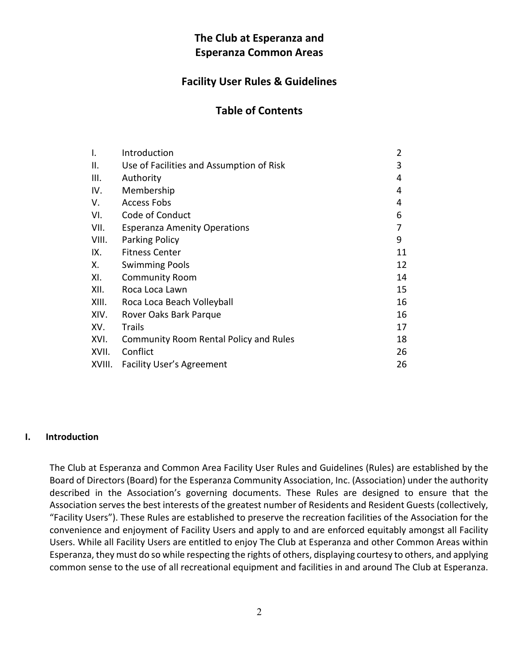#### **The Club at Esperanza and Esperanza Common Areas**

#### **Facility User Rules & Guidelines**

#### **Table of Contents**

| Ι.     | Introduction                             | $\overline{2}$ |
|--------|------------------------------------------|----------------|
| ΙΙ.    | Use of Facilities and Assumption of Risk | 3              |
| III.   | Authority                                | 4              |
| IV.    | Membership                               | 4              |
| V.     | <b>Access Fobs</b>                       | 4              |
| VI.    | Code of Conduct                          | 6              |
| VII.   | <b>Esperanza Amenity Operations</b>      | 7              |
| VIII.  | Parking Policy                           | 9              |
| IX.    | <b>Fitness Center</b>                    | 11             |
| Х.     | <b>Swimming Pools</b>                    | 12             |
| XI.    | <b>Community Room</b>                    | 14             |
| XII.   | Roca Loca Lawn                           | 15             |
| XIII.  | Roca Loca Beach Volleyball               | 16             |
| XIV.   | Rover Oaks Bark Parque                   | 16             |
| XV.    | <b>Trails</b>                            | 17             |
| XVI.   | Community Room Rental Policy and Rules   | 18             |
| XVII.  | Conflict                                 | 26             |
| XVIII. | <b>Facility User's Agreement</b>         | 26             |

#### **I. Introduction**

The Club at Esperanza and Common Area Facility User Rules and Guidelines (Rules) are established by the Board of Directors (Board) for the Esperanza Community Association, Inc. (Association) under the authority described in the Association's governing documents. These Rules are designed to ensure that the Association serves the best interests of the greatest number of Residents and Resident Guests (collectively, "Facility Users"). These Rules are established to preserve the recreation facilities of the Association for the convenience and enjoyment of Facility Users and apply to and are enforced equitably amongst all Facility Users. While all Facility Users are entitled to enjoy The Club at Esperanza and other Common Areas within Esperanza, they must do so while respecting the rights of others, displaying courtesy to others, and applying common sense to the use of all recreational equipment and facilities in and around The Club at Esperanza.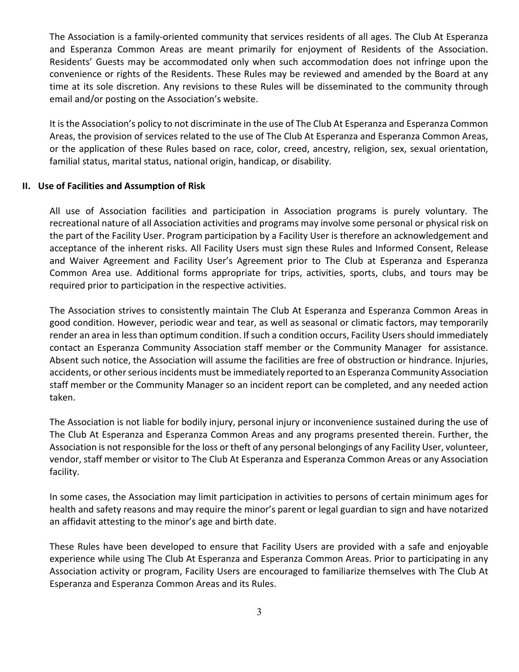The Association is a family-oriented community that services residents of all ages. The Club At Esperanza and Esperanza Common Areas are meant primarily for enjoyment of Residents of the Association. Residents' Guests may be accommodated only when such accommodation does not infringe upon the convenience or rights of the Residents. These Rules may be reviewed and amended by the Board at any time at its sole discretion. Any revisions to these Rules will be disseminated to the community through email and/or posting on the Association's website.

It is the Association's policy to not discriminate in the use of The Club At Esperanza and Esperanza Common Areas, the provision of services related to the use of The Club At Esperanza and Esperanza Common Areas, or the application of these Rules based on race, color, creed, ancestry, religion, sex, sexual orientation, familial status, marital status, national origin, handicap, or disability.

#### **II. Use of Facilities and Assumption of Risk**

All use of Association facilities and participation in Association programs is purely voluntary. The recreational nature of all Association activities and programs may involve some personal or physical risk on the part of the Facility User. Program participation by a Facility User is therefore an acknowledgement and acceptance of the inherent risks. All Facility Users must sign these Rules and Informed Consent, Release and Waiver Agreement and Facility User's Agreement prior to The Club at Esperanza and Esperanza Common Area use. Additional forms appropriate for trips, activities, sports, clubs, and tours may be required prior to participation in the respective activities.

The Association strives to consistently maintain The Club At Esperanza and Esperanza Common Areas in good condition. However, periodic wear and tear, as well as seasonal or climatic factors, may temporarily render an area in less than optimum condition. If such a condition occurs, Facility Users should immediately contact an Esperanza Community Association staff member or the Community Manager for assistance. Absent such notice, the Association will assume the facilities are free of obstruction or hindrance. Injuries, accidents, or other serious incidents must be immediately reported to an Esperanza Community Association staff member or the Community Manager so an incident report can be completed, and any needed action taken.

The Association is not liable for bodily injury, personal injury or inconvenience sustained during the use of The Club At Esperanza and Esperanza Common Areas and any programs presented therein. Further, the Association is not responsible for the loss or theft of any personal belongings of any Facility User, volunteer, vendor, staff member or visitor to The Club At Esperanza and Esperanza Common Areas or any Association facility.

In some cases, the Association may limit participation in activities to persons of certain minimum ages for health and safety reasons and may require the minor's parent or legal guardian to sign and have notarized an affidavit attesting to the minor's age and birth date.

These Rules have been developed to ensure that Facility Users are provided with a safe and enjoyable experience while using The Club At Esperanza and Esperanza Common Areas. Prior to participating in any Association activity or program, Facility Users are encouraged to familiarize themselves with The Club At Esperanza and Esperanza Common Areas and its Rules.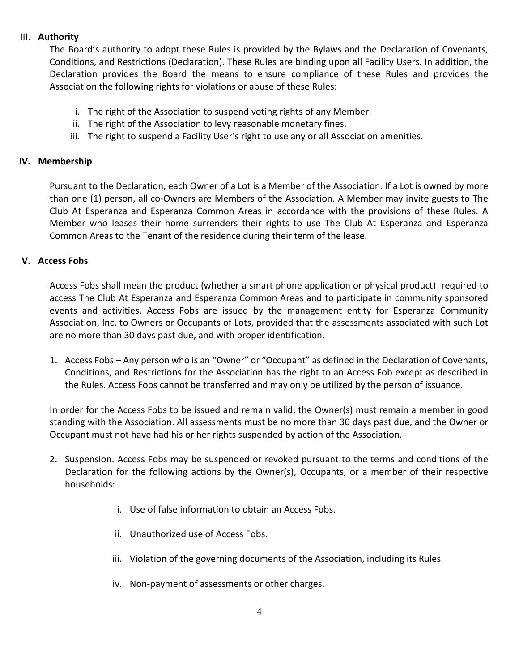#### III. **Authority**

The Board's authority to adopt these Rules is provided by the Bylaws and the Declaration of Covenants, Conditions, and Restrictions (Declaration). These Rules are binding upon all Facility Users. In addition, the Declaration provides the Board the means to ensure compliance of these Rules and provides the Association the following rights for violations or abuse of these Rules:

- i. The right of the Association to suspend voting rights of any Member.
- ii. The right of the Association to levy reasonable monetary fines.
- iii. The right to suspend a Facility User's right to use any or all Association amenities.

#### **IV. Membership**

Pursuant to the Declaration, each Owner of a Lot is a Member of the Association. If a Lot is owned by more than one (1) person, all co-Owners are Members of the Association. A Member may invite guests to The Club At Esperanza and Esperanza Common Areas in accordance with the provisions of these Rules. A Member who leases their home surrenders their rights to use The Club At Esperanza and Esperanza Common Areas to the Tenant of the residence during their term of the lease.

#### **V. Access Fobs**

Access Fobs shall mean the product (whether a smart phone application or physical product) required to access The Club At Esperanza and Esperanza Common Areas and to participate in community sponsored events and activities. Access Fobs are issued by the management entity for Esperanza Community Association, Inc. to Owners or Occupants of Lots, provided that the assessments associated with such Lot are no more than 30 days past due, and with proper identification.

1. Access Fobs – Any person who is an "Owner" or "Occupant" as defined in the Declaration of Covenants, Conditions, and Restrictions for the Association has the right to an Access Fob except as described in the Rules. Access Fobs cannot be transferred and may only be utilized by the person of issuance.

In order for the Access Fobs to be issued and remain valid, the Owner(s) must remain a member in good standing with the Association. All assessments must be no more than 30 days past due, and the Owner or Occupant must not have had his or her rights suspended by action of the Association.

- 2. Suspension. Access Fobs may be suspended or revoked pursuant to the terms and conditions of the Declaration for the following actions by the Owner(s), Occupants, or a member of their respective households:
	- i. Use of false information to obtain an Access Fobs.
	- ii. Unauthorized use of Access Fobs.
	- iii. Violation of the governing documents of the Association, including its Rules.
	- iv. Non-payment of assessments or other charges.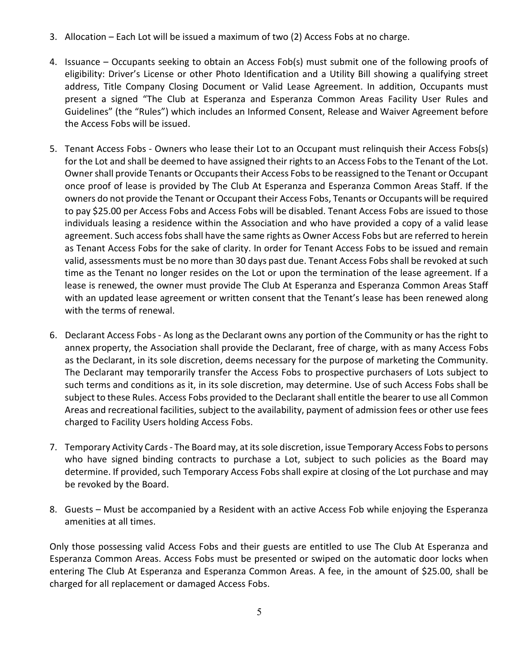- 3. Allocation Each Lot will be issued a maximum of two (2) Access Fobs at no charge.
- 4. Issuance Occupants seeking to obtain an Access Fob(s) must submit one of the following proofs of eligibility: Driver's License or other Photo Identification and a Utility Bill showing a qualifying street address, Title Company Closing Document or Valid Lease Agreement. In addition, Occupants must present a signed "The Club at Esperanza and Esperanza Common Areas Facility User Rules and Guidelines" (the "Rules") which includes an Informed Consent, Release and Waiver Agreement before the Access Fobs will be issued.
- 5. Tenant Access Fobs Owners who lease their Lot to an Occupant must relinquish their Access Fobs(s) for the Lot and shall be deemed to have assigned their rights to an Access Fobs to the Tenant of the Lot. Owner shall provide Tenants or Occupants their Access Fobsto be reassigned to the Tenant or Occupant once proof of lease is provided by The Club At Esperanza and Esperanza Common Areas Staff. If the owners do not provide the Tenant or Occupant their Access Fobs, Tenants or Occupants will be required to pay \$25.00 per Access Fobs and Access Fobs will be disabled. Tenant Access Fobs are issued to those individuals leasing a residence within the Association and who have provided a copy of a valid lease agreement. Such access fobs shall have the same rights as Owner Access Fobs but are referred to herein as Tenant Access Fobs for the sake of clarity. In order for Tenant Access Fobs to be issued and remain valid, assessments must be no more than 30 days past due. Tenant Access Fobs shall be revoked at such time as the Tenant no longer resides on the Lot or upon the termination of the lease agreement. If a lease is renewed, the owner must provide The Club At Esperanza and Esperanza Common Areas Staff with an updated lease agreement or written consent that the Tenant's lease has been renewed along with the terms of renewal.
- 6. Declarant Access Fobs As long as the Declarant owns any portion of the Community or has the right to annex property, the Association shall provide the Declarant, free of charge, with as many Access Fobs as the Declarant, in its sole discretion, deems necessary for the purpose of marketing the Community. The Declarant may temporarily transfer the Access Fobs to prospective purchasers of Lots subject to such terms and conditions as it, in its sole discretion, may determine. Use of such Access Fobs shall be subject to these Rules. Access Fobs provided to the Declarant shall entitle the bearer to use all Common Areas and recreational facilities, subject to the availability, payment of admission fees or other use fees charged to Facility Users holding Access Fobs.
- 7. Temporary Activity Cards The Board may, at its sole discretion, issue Temporary Access Fobsto persons who have signed binding contracts to purchase a Lot, subject to such policies as the Board may determine. If provided, such Temporary Access Fobs shall expire at closing of the Lot purchase and may be revoked by the Board.
- 8. Guests Must be accompanied by a Resident with an active Access Fob while enjoying the Esperanza amenities at all times.

Only those possessing valid Access Fobs and their guests are entitled to use The Club At Esperanza and Esperanza Common Areas. Access Fobs must be presented or swiped on the automatic door locks when entering The Club At Esperanza and Esperanza Common Areas. A fee, in the amount of \$25.00, shall be charged for all replacement or damaged Access Fobs.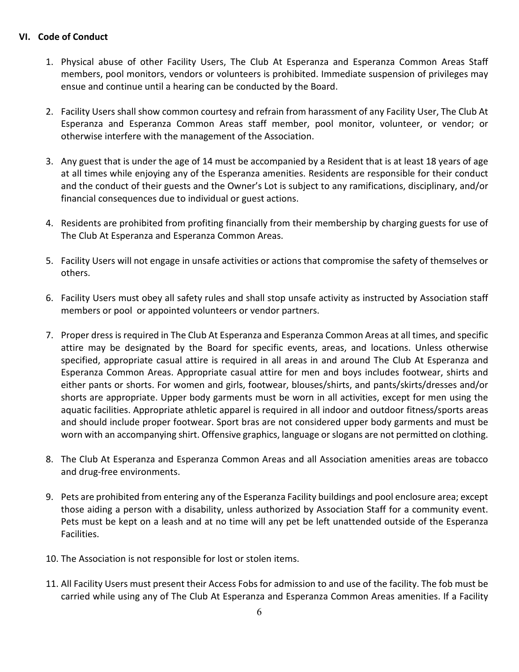#### **VI. Code of Conduct**

- 1. Physical abuse of other Facility Users, The Club At Esperanza and Esperanza Common Areas Staff members, pool monitors, vendors or volunteers is prohibited. Immediate suspension of privileges may ensue and continue until a hearing can be conducted by the Board.
- 2. Facility Users shall show common courtesy and refrain from harassment of any Facility User, The Club At Esperanza and Esperanza Common Areas staff member, pool monitor, volunteer, or vendor; or otherwise interfere with the management of the Association.
- 3. Any guest that is under the age of 14 must be accompanied by a Resident that is at least 18 years of age at all times while enjoying any of the Esperanza amenities. Residents are responsible for their conduct and the conduct of their guests and the Owner's Lot is subject to any ramifications, disciplinary, and/or financial consequences due to individual or guest actions.
- 4. Residents are prohibited from profiting financially from their membership by charging guests for use of The Club At Esperanza and Esperanza Common Areas.
- 5. Facility Users will not engage in unsafe activities or actions that compromise the safety of themselves or others.
- 6. Facility Users must obey all safety rules and shall stop unsafe activity as instructed by Association staff members or pool or appointed volunteers or vendor partners.
- 7. Proper dress is required in The Club At Esperanza and Esperanza Common Areas at all times, and specific attire may be designated by the Board for specific events, areas, and locations. Unless otherwise specified, appropriate casual attire is required in all areas in and around The Club At Esperanza and Esperanza Common Areas. Appropriate casual attire for men and boys includes footwear, shirts and either pants or shorts. For women and girls, footwear, blouses/shirts, and pants/skirts/dresses and/or shorts are appropriate. Upper body garments must be worn in all activities, except for men using the aquatic facilities. Appropriate athletic apparel is required in all indoor and outdoor fitness/sports areas and should include proper footwear. Sport bras are not considered upper body garments and must be worn with an accompanying shirt. Offensive graphics, language or slogans are not permitted on clothing.
- 8. The Club At Esperanza and Esperanza Common Areas and all Association amenities areas are tobacco and drug-free environments.
- 9. Pets are prohibited from entering any of the Esperanza Facility buildings and pool enclosure area; except those aiding a person with a disability, unless authorized by Association Staff for a community event. Pets must be kept on a leash and at no time will any pet be left unattended outside of the Esperanza Facilities.
- 10. The Association is not responsible for lost or stolen items.
- 11. All Facility Users must present their Access Fobs for admission to and use of the facility. The fob must be carried while using any of The Club At Esperanza and Esperanza Common Areas amenities. If a Facility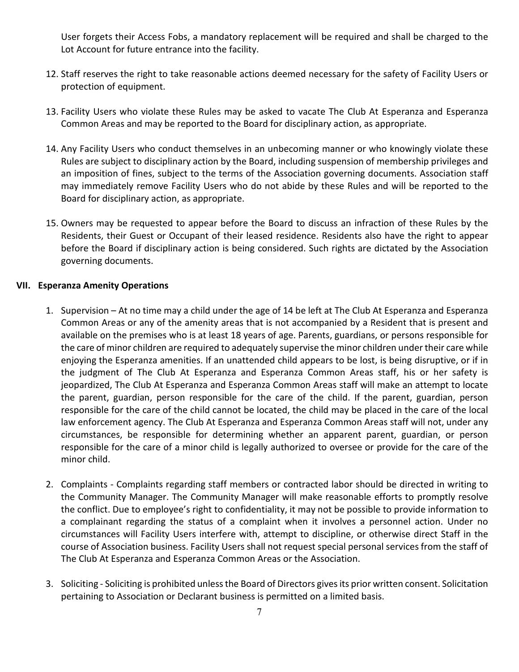User forgets their Access Fobs, a mandatory replacement will be required and shall be charged to the Lot Account for future entrance into the facility.

- 12. Staff reserves the right to take reasonable actions deemed necessary for the safety of Facility Users or protection of equipment.
- 13. Facility Users who violate these Rules may be asked to vacate The Club At Esperanza and Esperanza Common Areas and may be reported to the Board for disciplinary action, as appropriate.
- 14. Any Facility Users who conduct themselves in an unbecoming manner or who knowingly violate these Rules are subject to disciplinary action by the Board, including suspension of membership privileges and an imposition of fines, subject to the terms of the Association governing documents. Association staff may immediately remove Facility Users who do not abide by these Rules and will be reported to the Board for disciplinary action, as appropriate.
- 15. Owners may be requested to appear before the Board to discuss an infraction of these Rules by the Residents, their Guest or Occupant of their leased residence. Residents also have the right to appear before the Board if disciplinary action is being considered. Such rights are dictated by the Association governing documents.

#### **VII. Esperanza Amenity Operations**

- 1. Supervision At no time may a child under the age of 14 be left at The Club At Esperanza and Esperanza Common Areas or any of the amenity areas that is not accompanied by a Resident that is present and available on the premises who is at least 18 years of age. Parents, guardians, or persons responsible for the care of minor children are required to adequately supervise the minor children under their care while enjoying the Esperanza amenities. If an unattended child appears to be lost, is being disruptive, or if in the judgment of The Club At Esperanza and Esperanza Common Areas staff, his or her safety is jeopardized, The Club At Esperanza and Esperanza Common Areas staff will make an attempt to locate the parent, guardian, person responsible for the care of the child. If the parent, guardian, person responsible for the care of the child cannot be located, the child may be placed in the care of the local law enforcement agency. The Club At Esperanza and Esperanza Common Areas staff will not, under any circumstances, be responsible for determining whether an apparent parent, guardian, or person responsible for the care of a minor child is legally authorized to oversee or provide for the care of the minor child.
- 2. Complaints Complaints regarding staff members or contracted labor should be directed in writing to the Community Manager. The Community Manager will make reasonable efforts to promptly resolve the conflict. Due to employee's right to confidentiality, it may not be possible to provide information to a complainant regarding the status of a complaint when it involves a personnel action. Under no circumstances will Facility Users interfere with, attempt to discipline, or otherwise direct Staff in the course of Association business. Facility Users shall not request special personal services from the staff of The Club At Esperanza and Esperanza Common Areas or the Association.
- 3. Soliciting Soliciting is prohibited unless the Board of Directors gives its prior written consent. Solicitation pertaining to Association or Declarant business is permitted on a limited basis.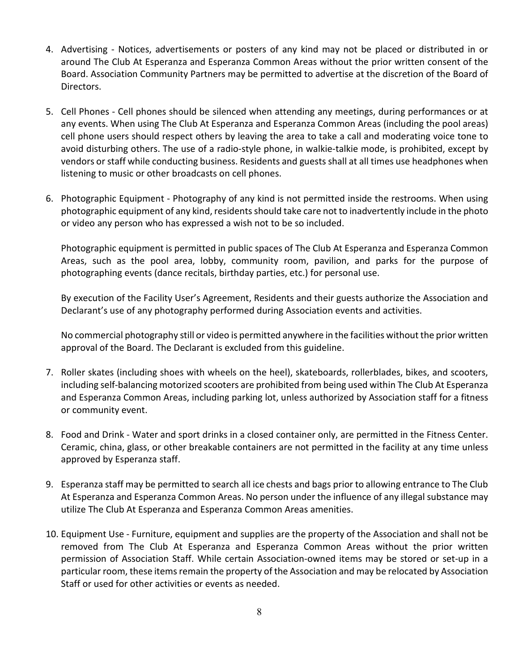- 4. Advertising Notices, advertisements or posters of any kind may not be placed or distributed in or around The Club At Esperanza and Esperanza Common Areas without the prior written consent of the Board. Association Community Partners may be permitted to advertise at the discretion of the Board of Directors.
- 5. Cell Phones Cell phones should be silenced when attending any meetings, during performances or at any events. When using The Club At Esperanza and Esperanza Common Areas (including the pool areas) cell phone users should respect others by leaving the area to take a call and moderating voice tone to avoid disturbing others. The use of a radio-style phone, in walkie-talkie mode, is prohibited, except by vendors or staff while conducting business. Residents and guests shall at all times use headphones when listening to music or other broadcasts on cell phones.
- 6. Photographic Equipment Photography of any kind is not permitted inside the restrooms. When using photographic equipment of any kind, residents should take care not to inadvertently include in the photo or video any person who has expressed a wish not to be so included.

Photographic equipment is permitted in public spaces of The Club At Esperanza and Esperanza Common Areas, such as the pool area, lobby, community room, pavilion, and parks for the purpose of photographing events (dance recitals, birthday parties, etc.) for personal use.

By execution of the Facility User's Agreement, Residents and their guests authorize the Association and Declarant's use of any photography performed during Association events and activities.

No commercial photography still or video is permitted anywhere in the facilities without the prior written approval of the Board. The Declarant is excluded from this guideline.

- 7. Roller skates (including shoes with wheels on the heel), skateboards, rollerblades, bikes, and scooters, including self-balancing motorized scooters are prohibited from being used within The Club At Esperanza and Esperanza Common Areas, including parking lot, unless authorized by Association staff for a fitness or community event.
- 8. Food and Drink Water and sport drinks in a closed container only, are permitted in the Fitness Center. Ceramic, china, glass, or other breakable containers are not permitted in the facility at any time unless approved by Esperanza staff.
- 9. Esperanza staff may be permitted to search all ice chests and bags prior to allowing entrance to The Club At Esperanza and Esperanza Common Areas. No person under the influence of any illegal substance may utilize The Club At Esperanza and Esperanza Common Areas amenities.
- 10. Equipment Use Furniture, equipment and supplies are the property of the Association and shall not be removed from The Club At Esperanza and Esperanza Common Areas without the prior written permission of Association Staff. While certain Association-owned items may be stored or set-up in a particular room, these items remain the property of the Association and may be relocated by Association Staff or used for other activities or events as needed.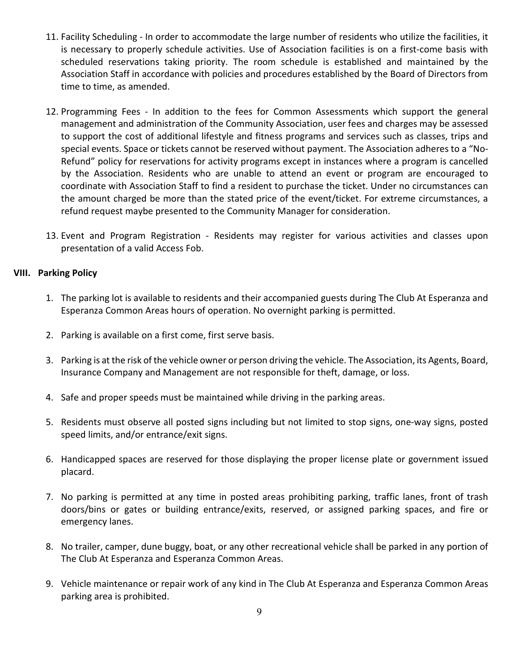- 11. Facility Scheduling In order to accommodate the large number of residents who utilize the facilities, it is necessary to properly schedule activities. Use of Association facilities is on a first-come basis with scheduled reservations taking priority. The room schedule is established and maintained by the Association Staff in accordance with policies and procedures established by the Board of Directors from time to time, as amended.
- 12. Programming Fees In addition to the fees for Common Assessments which support the general management and administration of the Community Association, user fees and charges may be assessed to support the cost of additional lifestyle and fitness programs and services such as classes, trips and special events. Space or tickets cannot be reserved without payment. The Association adheres to a "No-Refund" policy for reservations for activity programs except in instances where a program is cancelled by the Association. Residents who are unable to attend an event or program are encouraged to coordinate with Association Staff to find a resident to purchase the ticket. Under no circumstances can the amount charged be more than the stated price of the event/ticket. For extreme circumstances, a refund request maybe presented to the Community Manager for consideration.
- 13. Event and Program Registration Residents may register for various activities and classes upon presentation of a valid Access Fob.

#### **VIII. Parking Policy**

- 1. The parking lot is available to residents and their accompanied guests during The Club At Esperanza and Esperanza Common Areas hours of operation. No overnight parking is permitted.
- 2. Parking is available on a first come, first serve basis.
- 3. Parking is at the risk of the vehicle owner or person driving the vehicle. The Association, its Agents, Board, Insurance Company and Management are not responsible for theft, damage, or loss.
- 4. Safe and proper speeds must be maintained while driving in the parking areas.
- 5. Residents must observe all posted signs including but not limited to stop signs, one-way signs, posted speed limits, and/or entrance/exit signs.
- 6. Handicapped spaces are reserved for those displaying the proper license plate or government issued placard.
- 7. No parking is permitted at any time in posted areas prohibiting parking, traffic lanes, front of trash doors/bins or gates or building entrance/exits, reserved, or assigned parking spaces, and fire or emergency lanes.
- 8. No trailer, camper, dune buggy, boat, or any other recreational vehicle shall be parked in any portion of The Club At Esperanza and Esperanza Common Areas.
- 9. Vehicle maintenance or repair work of any kind in The Club At Esperanza and Esperanza Common Areas parking area is prohibited.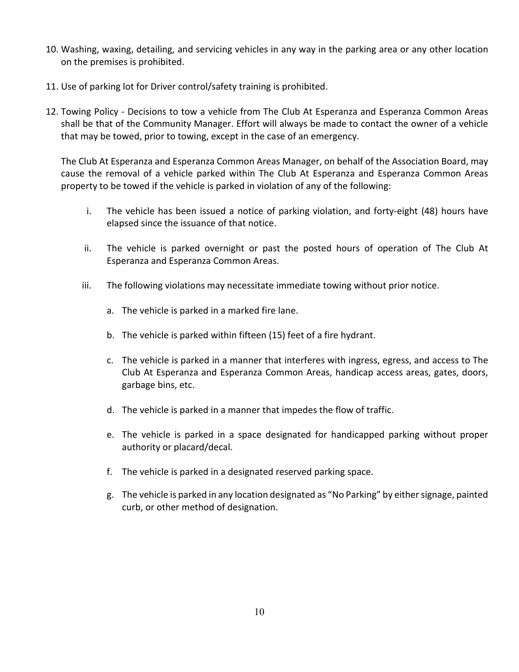- 10. Washing, waxing, detailing, and servicing vehicles in any way in the parking area or any other location on the premises is prohibited.
- 11. Use of parking lot for Driver control/safety training is prohibited.
- 12. Towing Policy Decisions to tow a vehicle from The Club At Esperanza and Esperanza Common Areas shall be that of the Community Manager. Effort will always be made to contact the owner of a vehicle that may be towed, prior to towing, except in the case of an emergency.

The Club At Esperanza and Esperanza Common Areas Manager, on behalf of the Association Board, may cause the removal of a vehicle parked within The Club At Esperanza and Esperanza Common Areas property to be towed if the vehicle is parked in violation of any of the following:

- i. The vehicle has been issued a notice of parking violation, and forty-eight (48) hours have elapsed since the issuance of that notice.
- ii. The vehicle is parked overnight or past the posted hours of operation of The Club At Esperanza and Esperanza Common Areas.
- iii. The following violations may necessitate immediate towing without prior notice.
	- a. The vehicle is parked in a marked fire lane.
	- b. The vehicle is parked within fifteen (15) feet of a fire hydrant.
	- c. The vehicle is parked in a manner that interferes with ingress, egress, and access to The Club At Esperanza and Esperanza Common Areas, handicap access areas, gates, doors, garbage bins, etc.
	- d. The vehicle is parked in a manner that impedes the flow of traffic.
	- e. The vehicle is parked in a space designated for handicapped parking without proper authority or placard/decal.
	- f. The vehicle is parked in a designated reserved parking space.
	- g. The vehicle is parked in any location designated as "No Parking" by either signage, painted curb, or other method of designation.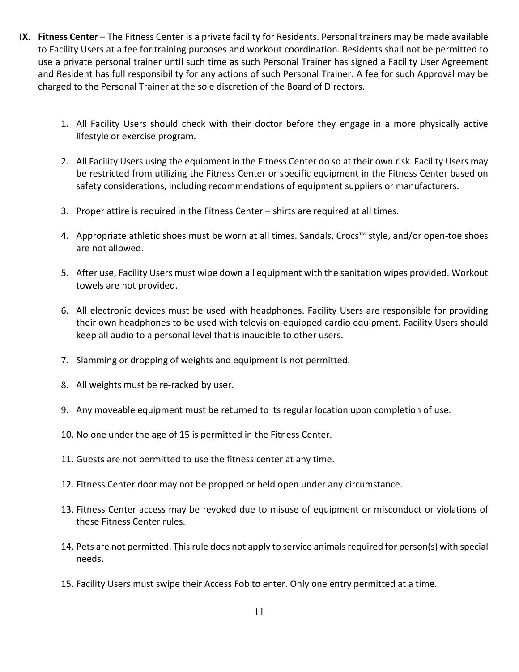- **IX. Fitness Center** The Fitness Center is a private facility for Residents. Personal trainers may be made available to Facility Users at a fee for training purposes and workout coordination. Residents shall not be permitted to use a private personal trainer until such time as such Personal Trainer has signed a Facility User Agreement and Resident has full responsibility for any actions of such Personal Trainer. A fee for such Approval may be charged to the Personal Trainer at the sole discretion of the Board of Directors.
	- 1. All Facility Users should check with their doctor before they engage in a more physically active lifestyle or exercise program.
	- 2. All Facility Users using the equipment in the Fitness Center do so at their own risk. Facility Users may be restricted from utilizing the Fitness Center or specific equipment in the Fitness Center based on safety considerations, including recommendations of equipment suppliers or manufacturers.
	- 3. Proper attire is required in the Fitness Center shirts are required at all times.
	- 4. Appropriate athletic shoes must be worn at all times. Sandals, Crocs™ style, and/or open-toe shoes are not allowed.
	- 5. After use, Facility Users must wipe down all equipment with the sanitation wipes provided. Workout towels are not provided.
	- 6. All electronic devices must be used with headphones. Facility Users are responsible for providing their own headphones to be used with television-equipped cardio equipment. Facility Users should keep all audio to a personal level that is inaudible to other users.
	- 7. Slamming or dropping of weights and equipment is not permitted.
	- 8. All weights must be re-racked by user.
	- 9. Any moveable equipment must be returned to its regular location upon completion of use.
	- 10. No one under the age of 15 is permitted in the Fitness Center.
	- 11. Guests are not permitted to use the fitness center at any time.
	- 12. Fitness Center door may not be propped or held open under any circumstance.
	- 13. Fitness Center access may be revoked due to misuse of equipment or misconduct or violations of these Fitness Center rules.
	- 14. Pets are not permitted. This rule does not apply to service animals required for person(s) with special needs.
	- 15. Facility Users must swipe their Access Fob to enter. Only one entry permitted at a time.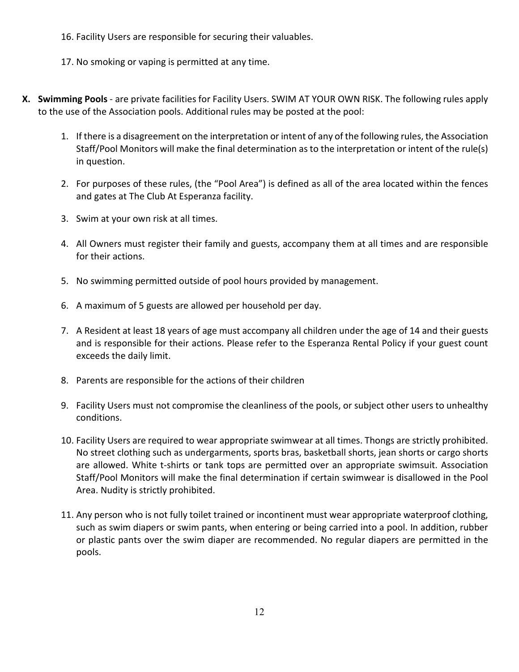- 16. Facility Users are responsible for securing their valuables.
- 17. No smoking or vaping is permitted at any time.
- **X. Swimming Pools** are private facilities for Facility Users. SWIM AT YOUR OWN RISK. The following rules apply to the use of the Association pools. Additional rules may be posted at the pool:
	- 1. If there is a disagreement on the interpretation or intent of any of the following rules, the Association Staff/Pool Monitors will make the final determination as to the interpretation or intent of the rule(s) in question.
	- 2. For purposes of these rules, (the "Pool Area") is defined as all of the area located within the fences and gates at The Club At Esperanza facility.
	- 3. Swim at your own risk at all times.
	- 4. All Owners must register their family and guests, accompany them at all times and are responsible for their actions.
	- 5. No swimming permitted outside of pool hours provided by management.
	- 6. A maximum of 5 guests are allowed per household per day.
	- 7. A Resident at least 18 years of age must accompany all children under the age of 14 and their guests and is responsible for their actions. Please refer to the Esperanza Rental Policy if your guest count exceeds the daily limit.
	- 8. Parents are responsible for the actions of their children
	- 9. Facility Users must not compromise the cleanliness of the pools, or subject other users to unhealthy conditions.
	- 10. Facility Users are required to wear appropriate swimwear at all times. Thongs are strictly prohibited. No street clothing such as undergarments, sports bras, basketball shorts, jean shorts or cargo shorts are allowed. White t-shirts or tank tops are permitted over an appropriate swimsuit. Association Staff/Pool Monitors will make the final determination if certain swimwear is disallowed in the Pool Area. Nudity is strictly prohibited.
	- 11. Any person who is not fully toilet trained or incontinent must wear appropriate waterproof clothing, such as swim diapers or swim pants, when entering or being carried into a pool. In addition, rubber or plastic pants over the swim diaper are recommended. No regular diapers are permitted in the pools.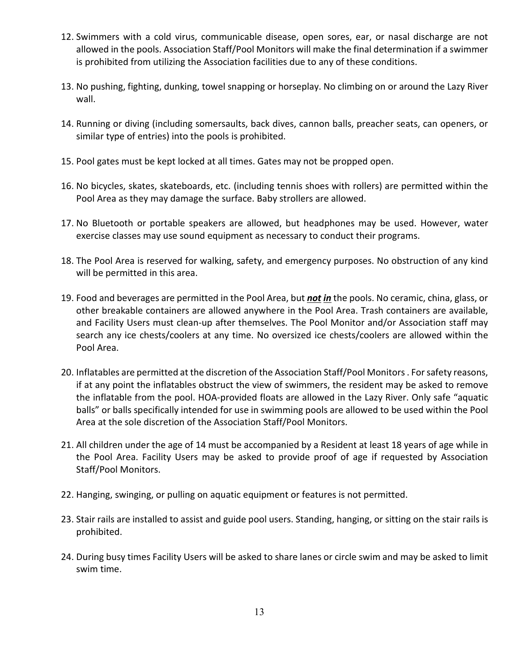- 12. Swimmers with a cold virus, communicable disease, open sores, ear, or nasal discharge are not allowed in the pools. Association Staff/Pool Monitors will make the final determination if a swimmer is prohibited from utilizing the Association facilities due to any of these conditions.
- 13. No pushing, fighting, dunking, towel snapping or horseplay. No climbing on or around the Lazy River wall.
- 14. Running or diving (including somersaults, back dives, cannon balls, preacher seats, can openers, or similar type of entries) into the pools is prohibited.
- 15. Pool gates must be kept locked at all times. Gates may not be propped open.
- 16. No bicycles, skates, skateboards, etc. (including tennis shoes with rollers) are permitted within the Pool Area as they may damage the surface. Baby strollers are allowed.
- 17. No Bluetooth or portable speakers are allowed, but headphones may be used. However, water exercise classes may use sound equipment as necessary to conduct their programs.
- 18. The Pool Area is reserved for walking, safety, and emergency purposes. No obstruction of any kind will be permitted in this area.
- 19. Food and beverages are permitted in the Pool Area, but *not in* the pools. No ceramic, china, glass, or other breakable containers are allowed anywhere in the Pool Area. Trash containers are available, and Facility Users must clean-up after themselves. The Pool Monitor and/or Association staff may search any ice chests/coolers at any time. No oversized ice chests/coolers are allowed within the Pool Area.
- 20. Inflatables are permitted at the discretion of the Association Staff/Pool Monitors. For safety reasons, if at any point the inflatables obstruct the view of swimmers, the resident may be asked to remove the inflatable from the pool. HOA-provided floats are allowed in the Lazy River. Only safe "aquatic balls" or balls specifically intended for use in swimming pools are allowed to be used within the Pool Area at the sole discretion of the Association Staff/Pool Monitors.
- 21. All children under the age of 14 must be accompanied by a Resident at least 18 years of age while in the Pool Area. Facility Users may be asked to provide proof of age if requested by Association Staff/Pool Monitors.
- 22. Hanging, swinging, or pulling on aquatic equipment or features is not permitted.
- 23. Stair rails are installed to assist and guide pool users. Standing, hanging, or sitting on the stair rails is prohibited.
- 24. During busy times Facility Users will be asked to share lanes or circle swim and may be asked to limit swim time.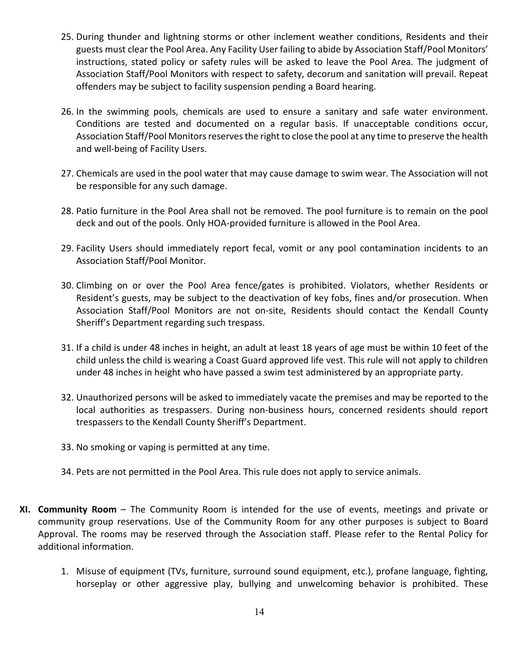- 25. During thunder and lightning storms or other inclement weather conditions, Residents and their guests must clear the Pool Area. Any Facility User failing to abide by Association Staff/Pool Monitors' instructions, stated policy or safety rules will be asked to leave the Pool Area. The judgment of Association Staff/Pool Monitors with respect to safety, decorum and sanitation will prevail. Repeat offenders may be subject to facility suspension pending a Board hearing.
- 26. In the swimming pools, chemicals are used to ensure a sanitary and safe water environment. Conditions are tested and documented on a regular basis. If unacceptable conditions occur, Association Staff/Pool Monitors reserves the right to close the pool at any time to preserve the health and well-being of Facility Users.
- 27. Chemicals are used in the pool water that may cause damage to swim wear. The Association will not be responsible for any such damage.
- 28. Patio furniture in the Pool Area shall not be removed. The pool furniture is to remain on the pool deck and out of the pools. Only HOA-provided furniture is allowed in the Pool Area.
- 29. Facility Users should immediately report fecal, vomit or any pool contamination incidents to an Association Staff/Pool Monitor.
- 30. Climbing on or over the Pool Area fence/gates is prohibited. Violators, whether Residents or Resident's guests, may be subject to the deactivation of key fobs, fines and/or prosecution. When Association Staff/Pool Monitors are not on-site, Residents should contact the Kendall County Sheriff's Department regarding such trespass.
- 31. If a child is under 48 inches in height, an adult at least 18 years of age must be within 10 feet of the child unless the child is wearing a Coast Guard approved life vest. This rule will not apply to children under 48 inches in height who have passed a swim test administered by an appropriate party.
- 32. Unauthorized persons will be asked to immediately vacate the premises and may be reported to the local authorities as trespassers. During non-business hours, concerned residents should report trespassers to the Kendall County Sheriff's Department.
- 33. No smoking or vaping is permitted at any time.
- 34. Pets are not permitted in the Pool Area. This rule does not apply to service animals.
- **XI. Community Room** The Community Room is intended for the use of events, meetings and private or community group reservations. Use of the Community Room for any other purposes is subject to Board Approval. The rooms may be reserved through the Association staff. Please refer to the Rental Policy for additional information.
	- 1. Misuse of equipment (TVs, furniture, surround sound equipment, etc.), profane language, fighting, horseplay or other aggressive play, bullying and unwelcoming behavior is prohibited. These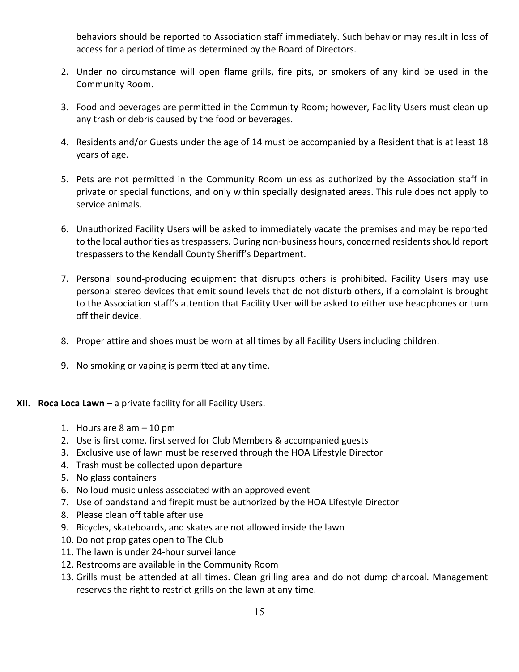behaviors should be reported to Association staff immediately. Such behavior may result in loss of access for a period of time as determined by the Board of Directors.

- 2. Under no circumstance will open flame grills, fire pits, or smokers of any kind be used in the Community Room.
- 3. Food and beverages are permitted in the Community Room; however, Facility Users must clean up any trash or debris caused by the food or beverages.
- 4. Residents and/or Guests under the age of 14 must be accompanied by a Resident that is at least 18 years of age.
- 5. Pets are not permitted in the Community Room unless as authorized by the Association staff in private or special functions, and only within specially designated areas. This rule does not apply to service animals.
- 6. Unauthorized Facility Users will be asked to immediately vacate the premises and may be reported to the local authorities as trespassers. During non-business hours, concerned residents should report trespassers to the Kendall County Sheriff's Department.
- 7. Personal sound-producing equipment that disrupts others is prohibited. Facility Users may use personal stereo devices that emit sound levels that do not disturb others, if a complaint is brought to the Association staff's attention that Facility User will be asked to either use headphones or turn off their device.
- 8. Proper attire and shoes must be worn at all times by all Facility Users including children.
- 9. No smoking or vaping is permitted at any time.
- **XII. Roca Loca Lawn** a private facility for all Facility Users.
	- 1. Hours are 8 am 10 pm
	- 2. Use is first come, first served for Club Members & accompanied guests
	- 3. Exclusive use of lawn must be reserved through the HOA Lifestyle Director
	- 4. Trash must be collected upon departure
	- 5. No glass containers
	- 6. No loud music unless associated with an approved event
	- 7. Use of bandstand and firepit must be authorized by the HOA Lifestyle Director
	- 8. Please clean off table after use
	- 9. Bicycles, skateboards, and skates are not allowed inside the lawn
	- 10. Do not prop gates open to The Club
	- 11. The lawn is under 24-hour surveillance
	- 12. Restrooms are available in the Community Room
	- 13. Grills must be attended at all times. Clean grilling area and do not dump charcoal. Management reserves the right to restrict grills on the lawn at any time.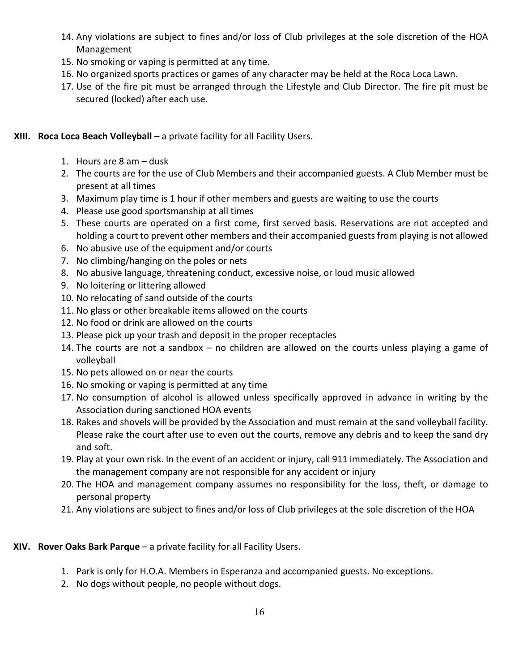- 14. Any violations are subject to fines and/or loss of Club privileges at the sole discretion of the HOA Management
- 15. No smoking or vaping is permitted at any time.
- 16. No organized sports practices or games of any character may be held at the Roca Loca Lawn.
- 17. Use of the fire pit must be arranged through the Lifestyle and Club Director. The fire pit must be secured (locked) after each use.

#### **XIII. Roca Loca Beach Volleyball** – a private facility for all Facility Users.

- 1. Hours are 8 am dusk
- 2. The courts are for the use of Club Members and their accompanied guests. A Club Member must be present at all times
- 3. Maximum play time is 1 hour if other members and guests are waiting to use the courts
- 4. Please use good sportsmanship at all times
- 5. These courts are operated on a first come, first served basis. Reservations are not accepted and holding a court to prevent other members and their accompanied guests from playing is not allowed
- 6. No abusive use of the equipment and/or courts
- 7. No climbing/hanging on the poles or nets
- 8. No abusive language, threatening conduct, excessive noise, or loud music allowed
- 9. No loitering or littering allowed
- 10. No relocating of sand outside of the courts
- 11. No glass or other breakable items allowed on the courts
- 12. No food or drink are allowed on the courts
- 13. Please pick up your trash and deposit in the proper receptacles
- 14. The courts are not a sandbox no children are allowed on the courts unless playing a game of volleyball
- 15. No pets allowed on or near the courts
- 16. No smoking or vaping is permitted at any time
- 17. No consumption of alcohol is allowed unless specifically approved in advance in writing by the Association during sanctioned HOA events
- 18. Rakes and shovels will be provided by the Association and must remain at the sand volleyball facility. Please rake the court after use to even out the courts, remove any debris and to keep the sand dry and soft.
- 19. Play at your own risk. In the event of an accident or injury, call 911 immediately. The Association and the management company are not responsible for any accident or injury
- 20. The HOA and management company assumes no responsibility for the loss, theft, or damage to personal property
- 21. Any violations are subject to fines and/or loss of Club privileges at the sole discretion of the HOA

#### **XIV. Rover Oaks Bark Parque** – a private facility for all Facility Users.

- 1. Park is only for H.O.A. Members in Esperanza and accompanied guests. No exceptions.
- 2. No dogs without people, no people without dogs.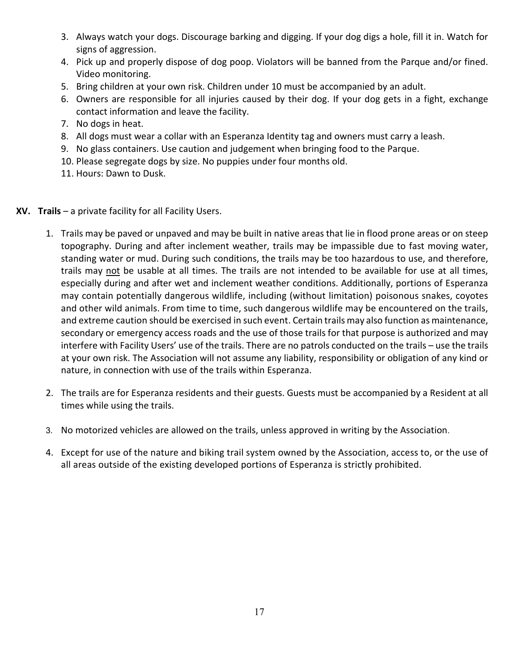- 3. Always watch your dogs. Discourage barking and digging. If your dog digs a hole, fill it in. Watch for signs of aggression.
- 4. Pick up and properly dispose of dog poop. Violators will be banned from the Parque and/or fined. Video monitoring.
- 5. Bring children at your own risk. Children under 10 must be accompanied by an adult.
- 6. Owners are responsible for all injuries caused by their dog. If your dog gets in a fight, exchange contact information and leave the facility.
- 7. No dogs in heat.
- 8. All dogs must wear a collar with an Esperanza Identity tag and owners must carry a leash.
- 9. No glass containers. Use caution and judgement when bringing food to the Parque.
- 10. Please segregate dogs by size. No puppies under four months old.
- 11. Hours: Dawn to Dusk.
- **XV. Trails** a private facility for all Facility Users.
	- 1. Trails may be paved or unpaved and may be built in native areas that lie in flood prone areas or on steep topography. During and after inclement weather, trails may be impassible due to fast moving water, standing water or mud. During such conditions, the trails may be too hazardous to use, and therefore, trails may not be usable at all times. The trails are not intended to be available for use at all times, especially during and after wet and inclement weather conditions. Additionally, portions of Esperanza may contain potentially dangerous wildlife, including (without limitation) poisonous snakes, coyotes and other wild animals. From time to time, such dangerous wildlife may be encountered on the trails, and extreme caution should be exercised in such event. Certain trails may also function as maintenance, secondary or emergency access roads and the use of those trails for that purpose is authorized and may interfere with Facility Users' use of the trails. There are no patrols conducted on the trails – use the trails at your own risk. The Association will not assume any liability, responsibility or obligation of any kind or nature, in connection with use of the trails within Esperanza.
	- 2. The trails are for Esperanza residents and their guests. Guests must be accompanied by a Resident at all times while using the trails.
	- 3. No motorized vehicles are allowed on the trails, unless approved in writing by the Association.
	- 4. Except for use of the nature and biking trail system owned by the Association, access to, or the use of all areas outside of the existing developed portions of Esperanza is strictly prohibited.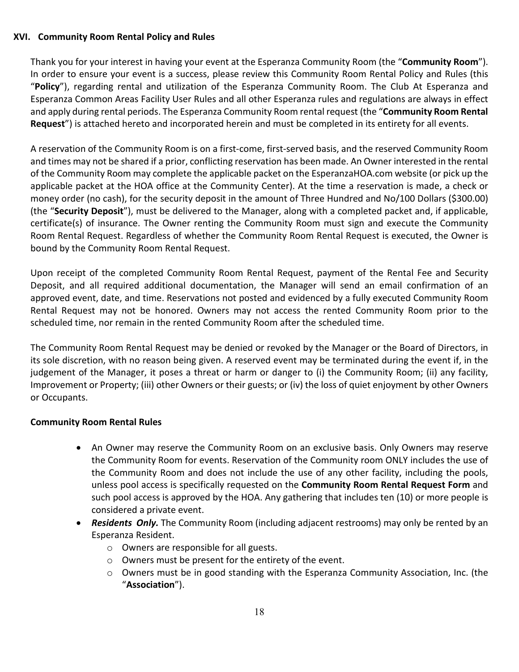#### **XVI. Community Room Rental Policy and Rules**

Thank you for your interest in having your event at the Esperanza Community Room (the "**Community Room**"). In order to ensure your event is a success, please review this Community Room Rental Policy and Rules (this "**Policy**"), regarding rental and utilization of the Esperanza Community Room. The Club At Esperanza and Esperanza Common Areas Facility User Rules and all other Esperanza rules and regulations are always in effect and apply during rental periods. The Esperanza Community Room rental request (the "**Community Room Rental Request**") is attached hereto and incorporated herein and must be completed in its entirety for all events.

A reservation of the Community Room is on a first-come, first-served basis, and the reserved Community Room and times may not be shared if a prior, conflicting reservation has been made. An Owner interested in the rental of the Community Room may complete the applicable packet on the EsperanzaHOA.com website (or pick up the applicable packet at the HOA office at the Community Center). At the time a reservation is made, a check or money order (no cash), for the security deposit in the amount of Three Hundred and No/100 Dollars (\$300.00) (the "**Security Deposit**"), must be delivered to the Manager, along with a completed packet and, if applicable, certificate(s) of insurance. The Owner renting the Community Room must sign and execute the Community Room Rental Request. Regardless of whether the Community Room Rental Request is executed, the Owner is bound by the Community Room Rental Request.

Upon receipt of the completed Community Room Rental Request, payment of the Rental Fee and Security Deposit, and all required additional documentation, the Manager will send an email confirmation of an approved event, date, and time. Reservations not posted and evidenced by a fully executed Community Room Rental Request may not be honored. Owners may not access the rented Community Room prior to the scheduled time, nor remain in the rented Community Room after the scheduled time.

The Community Room Rental Request may be denied or revoked by the Manager or the Board of Directors, in its sole discretion, with no reason being given. A reserved event may be terminated during the event if, in the judgement of the Manager, it poses a threat or harm or danger to (i) the Community Room; (ii) any facility, Improvement or Property; (iii) other Owners or their guests; or (iv) the loss of quiet enjoyment by other Owners or Occupants.

#### **Community Room Rental Rules**

- An Owner may reserve the Community Room on an exclusive basis. Only Owners may reserve the Community Room for events. Reservation of the Community room ONLY includes the use of the Community Room and does not include the use of any other facility, including the pools, unless pool access is specifically requested on the **Community Room Rental Request Form** and such pool access is approved by the HOA. Any gathering that includes ten (10) or more people is considered a private event.
- *Residents Only.* The Community Room (including adjacent restrooms) may only be rented by an Esperanza Resident.
	- o Owners are responsible for all guests.
	- o Owners must be present for the entirety of the event.
	- o Owners must be in good standing with the Esperanza Community Association, Inc. (the "**Association**").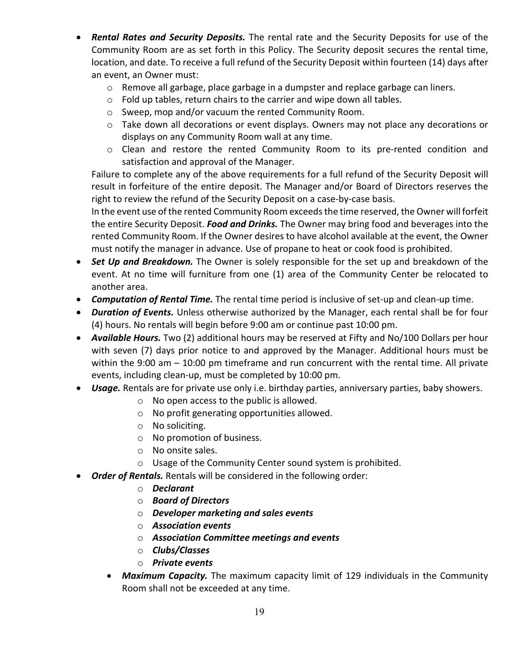- *Rental Rates and Security Deposits.* The rental rate and the Security Deposits for use of the Community Room are as set forth in this Policy. The Security deposit secures the rental time, location, and date. To receive a full refund of the Security Deposit within fourteen (14) days after an event, an Owner must:
	- $\circ$  Remove all garbage, place garbage in a dumpster and replace garbage can liners.
	- o Fold up tables, return chairs to the carrier and wipe down all tables.
	- o Sweep, mop and/or vacuum the rented Community Room.
	- o Take down all decorations or event displays. Owners may not place any decorations or displays on any Community Room wall at any time.
	- o Clean and restore the rented Community Room to its pre-rented condition and satisfaction and approval of the Manager.

Failure to complete any of the above requirements for a full refund of the Security Deposit will result in forfeiture of the entire deposit. The Manager and/or Board of Directors reserves the right to review the refund of the Security Deposit on a case-by-case basis.

In the event use of the rented Community Room exceeds the time reserved, the Owner will forfeit the entire Security Deposit. *Food and Drinks.* The Owner may bring food and beverages into the rented Community Room. If the Owner desires to have alcohol available at the event, the Owner must notify the manager in advance. Use of propane to heat or cook food is prohibited.

- *Set Up and Breakdown.* The Owner is solely responsible for the set up and breakdown of the event. At no time will furniture from one (1) area of the Community Center be relocated to another area.
- *Computation of Rental Time.* The rental time period is inclusive of set-up and clean-up time.
- *Duration of Events.* Unless otherwise authorized by the Manager, each rental shall be for four (4) hours. No rentals will begin before 9:00 am or continue past 10:00 pm.
- *Available Hours.* Two (2) additional hours may be reserved at Fifty and No/100 Dollars per hour with seven (7) days prior notice to and approved by the Manager. Additional hours must be within the 9:00 am – 10:00 pm timeframe and run concurrent with the rental time. All private events, including clean-up, must be completed by 10:00 pm.
- *Usage.* Rentals are for private use only i.e. birthday parties, anniversary parties, baby showers.
	- o No open access to the public is allowed.
	- o No profit generating opportunities allowed.
	- o No soliciting.
	- o No promotion of business.
	- o No onsite sales.
	- o Usage of the Community Center sound system is prohibited.
- *Order of Rentals.* Rentals will be considered in the following order:
	- o *Declarant*
	- o *Board of Directors*
	- o *Developer marketing and sales events*
	- o *Association events*
	- o *Association Committee meetings and events*
	- o *Clubs/Classes*
	- o *Private events*
	- *Maximum Capacity.* The maximum capacity limit of 129 individuals in the Community Room shall not be exceeded at any time.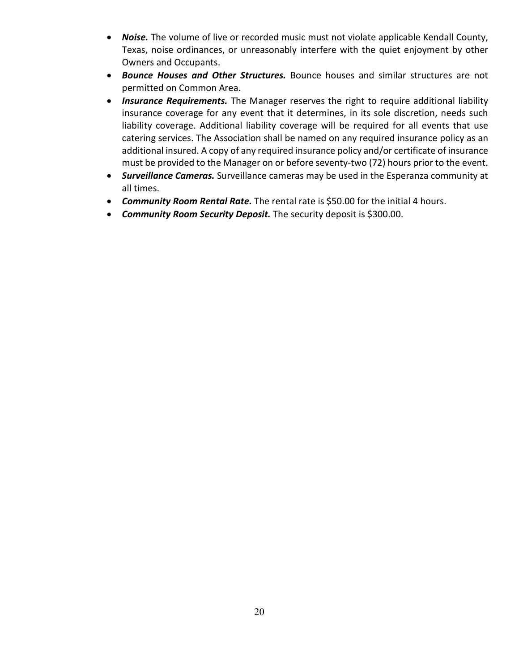- *Noise.* The volume of live or recorded music must not violate applicable Kendall County, Texas, noise ordinances, or unreasonably interfere with the quiet enjoyment by other Owners and Occupants.
- *Bounce Houses and Other Structures.* Bounce houses and similar structures are not permitted on Common Area.
- *Insurance Requirements.* The Manager reserves the right to require additional liability insurance coverage for any event that it determines, in its sole discretion, needs such liability coverage. Additional liability coverage will be required for all events that use catering services. The Association shall be named on any required insurance policy as an additional insured. A copy of any required insurance policy and/or certificate of insurance must be provided to the Manager on or before seventy-two (72) hours prior to the event.
- *Surveillance Cameras.* Surveillance cameras may be used in the Esperanza community at all times.
- *Community Room Rental Rate.* The rental rate is \$50.00 for the initial 4 hours.
- *Community Room Security Deposit.* The security deposit is \$300.00.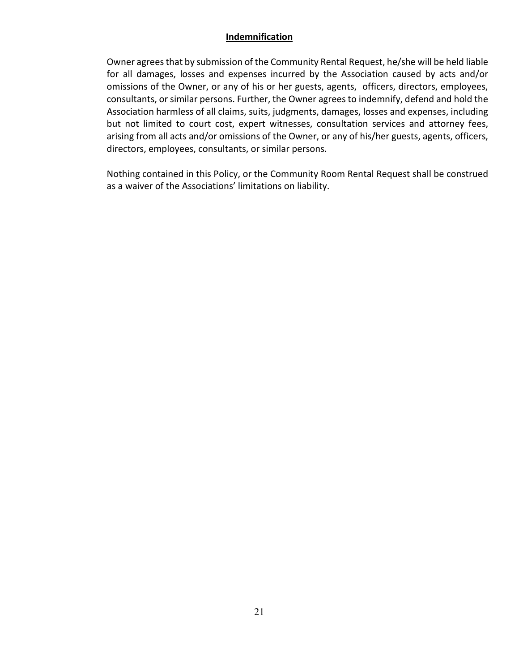#### **Indemnification**

Owner agrees that by submission of the Community Rental Request, he/she will be held liable for all damages, losses and expenses incurred by the Association caused by acts and/or omissions of the Owner, or any of his or her guests, agents, officers, directors, employees, consultants, or similar persons. Further, the Owner agrees to indemnify, defend and hold the Association harmless of all claims, suits, judgments, damages, losses and expenses, including but not limited to court cost, expert witnesses, consultation services and attorney fees, arising from all acts and/or omissions of the Owner, or any of his/her guests, agents, officers, directors, employees, consultants, or similar persons.

Nothing contained in this Policy, or the Community Room Rental Request shall be construed as a waiver of the Associations' limitations on liability.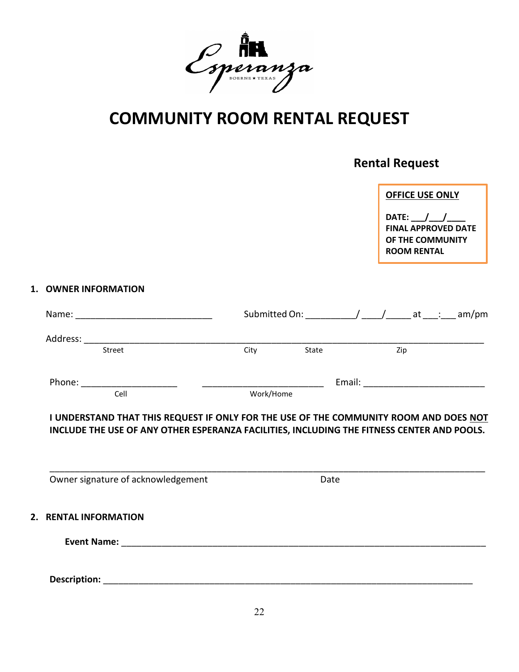

### **COMMUNITY ROOM RENTAL REQUEST**

### **Rental Request**

|                                    |                                                                                                                                                                                     |      |       | <b>OFFICE USE ONLY</b><br>DATE: $\_\_\_\_\_\_\_\_\_\_\_\_\_\_\$<br><b>ROOM RENTAL</b> | <b>FINAL APPROVED DATE</b><br>OF THE COMMUNITY                 |
|------------------------------------|-------------------------------------------------------------------------------------------------------------------------------------------------------------------------------------|------|-------|---------------------------------------------------------------------------------------|----------------------------------------------------------------|
| 1. OWNER INFORMATION               |                                                                                                                                                                                     |      |       |                                                                                       |                                                                |
|                                    |                                                                                                                                                                                     |      |       |                                                                                       | Submitted On: ______________/ _____/ ______ at ____: ___ am/pm |
|                                    |                                                                                                                                                                                     |      |       |                                                                                       |                                                                |
| Street                             |                                                                                                                                                                                     | City | State | Zip                                                                                   |                                                                |
|                                    |                                                                                                                                                                                     |      |       |                                                                                       |                                                                |
| Cell                               |                                                                                                                                                                                     |      |       |                                                                                       |                                                                |
|                                    | I UNDERSTAND THAT THIS REQUEST IF ONLY FOR THE USE OF THE COMMUNITY ROOM AND DOES NOT<br>INCLUDE THE USE OF ANY OTHER ESPERANZA FACILITIES, INCLUDING THE FITNESS CENTER AND POOLS. |      |       |                                                                                       |                                                                |
| Owner signature of acknowledgement |                                                                                                                                                                                     |      | Date  |                                                                                       |                                                                |
| 2. RENTAL INFORMATION              |                                                                                                                                                                                     |      |       |                                                                                       |                                                                |
| <b>Event Name:</b>                 |                                                                                                                                                                                     |      |       |                                                                                       |                                                                |

**Description:** \_\_\_\_\_\_\_\_\_\_\_\_\_\_\_\_\_\_\_\_\_\_\_\_\_\_\_\_\_\_\_\_\_\_\_\_\_\_\_\_\_\_\_\_\_\_\_\_\_\_\_\_\_\_\_\_\_\_\_\_\_\_\_\_\_\_\_\_\_\_\_\_\_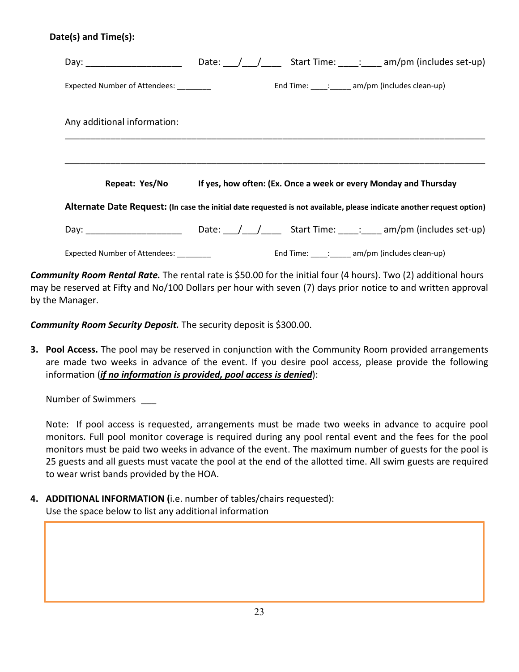#### **Date(s) and Time(s):**

| Day: _________________________                                                                                        |  |  | Date: $/ /$ Start Time: : am/pm (includes set-up)                |
|-----------------------------------------------------------------------------------------------------------------------|--|--|------------------------------------------------------------------|
| Expected Number of Attendees:                                                                                         |  |  | End Time: $\frac{1}{\sqrt{2}}$ : am/pm (includes clean-up)       |
| Any additional information:                                                                                           |  |  |                                                                  |
|                                                                                                                       |  |  |                                                                  |
| Repeat: Yes/No                                                                                                        |  |  | If yes, how often: (Ex. Once a week or every Monday and Thursday |
| Alternate Date Request: (In case the initial date requested is not available, please indicate another request option) |  |  |                                                                  |
|                                                                                                                       |  |  | Day: Date: / / Start Time: : am/pm (includes set-up)             |
| Expected Number of Attendees: ________                                                                                |  |  | End Time: $\therefore$ am/pm (includes clean-up)                 |

*Community Room Rental Rate.* The rental rate is \$50.00 for the initial four (4 hours). Two (2) additional hours may be reserved at Fifty and No/100 Dollars per hour with seven (7) days prior notice to and written approval by the Manager.

*Community Room Security Deposit.* The security deposit is \$300.00.

**3. Pool Access.** The pool may be reserved in conjunction with the Community Room provided arrangements are made two weeks in advance of the event. If you desire pool access, please provide the following information (*if no information is provided, pool access is denied*):

Number of Swimmers \_\_\_

Note: If pool access is requested, arrangements must be made two weeks in advance to acquire pool monitors. Full pool monitor coverage is required during any pool rental event and the fees for the pool monitors must be paid two weeks in advance of the event. The maximum number of guests for the pool is 25 guests and all guests must vacate the pool at the end of the allotted time. All swim guests are required to wear wrist bands provided by the HOA.

**4. ADDITIONAL INFORMATION (**i.e. number of tables/chairs requested): Use the space below to list any additional information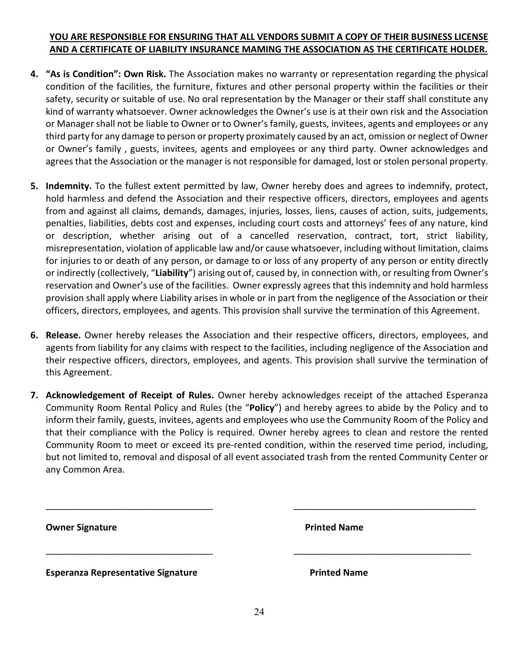#### **YOU ARE RESPONSIBLE FOR ENSURING THAT ALL VENDORS SUBMIT A COPY OF THEIR BUSINESS LICENSE AND A CERTIFICATE OF LIABILITY INSURANCE MAMING THE ASSOCIATION AS THE CERTIFICATE HOLDER.**

- **4. "As is Condition": Own Risk.** The Association makes no warranty or representation regarding the physical condition of the facilities, the furniture, fixtures and other personal property within the facilities or their safety, security or suitable of use. No oral representation by the Manager or their staff shall constitute any kind of warranty whatsoever. Owner acknowledges the Owner's use is at their own risk and the Association or Manager shall not be liable to Owner or to Owner's family, guests, invitees, agents and employees or any third party for any damage to person or property proximately caused by an act, omission or neglect of Owner or Owner's family , guests, invitees, agents and employees or any third party. Owner acknowledges and agrees that the Association or the manager is not responsible for damaged, lost or stolen personal property.
- **5. Indemnity.** To the fullest extent permitted by law, Owner hereby does and agrees to indemnify, protect, hold harmless and defend the Association and their respective officers, directors, employees and agents from and against all claims, demands, damages, injuries, losses, liens, causes of action, suits, judgements, penalties, liabilities, debts cost and expenses, including court costs and attorneys' fees of any nature, kind or description, whether arising out of a cancelled reservation, contract, tort, strict liability, misrepresentation, violation of applicable law and/or cause whatsoever, including without limitation, claims for injuries to or death of any person, or damage to or loss of any property of any person or entity directly or indirectly (collectively, "**Liability**") arising out of, caused by, in connection with, or resulting from Owner's reservation and Owner's use of the facilities. Owner expressly agrees that this indemnity and hold harmless provision shall apply where Liability arises in whole or in part from the negligence of the Association or their officers, directors, employees, and agents. This provision shall survive the termination of this Agreement.
- **6. Release.** Owner hereby releases the Association and their respective officers, directors, employees, and agents from liability for any claims with respect to the facilities, including negligence of the Association and their respective officers, directors, employees, and agents. This provision shall survive the termination of this Agreement.
- **7. Acknowledgement of Receipt of Rules.** Owner hereby acknowledges receipt of the attached Esperanza Community Room Rental Policy and Rules (the "**Policy**") and hereby agrees to abide by the Policy and to inform their family, guests, invitees, agents and employees who use the Community Room of the Policy and that their compliance with the Policy is required. Owner hereby agrees to clean and restore the rented Community Room to meet or exceed its pre-rented condition, within the reserved time period, including, but not limited to, removal and disposal of all event associated trash from the rented Community Center or any Common Area.

| <b>Owner Signature</b>                    | <b>Printed Name</b> |  |
|-------------------------------------------|---------------------|--|
| <b>Esperanza Representative Signature</b> | <b>Printed Name</b> |  |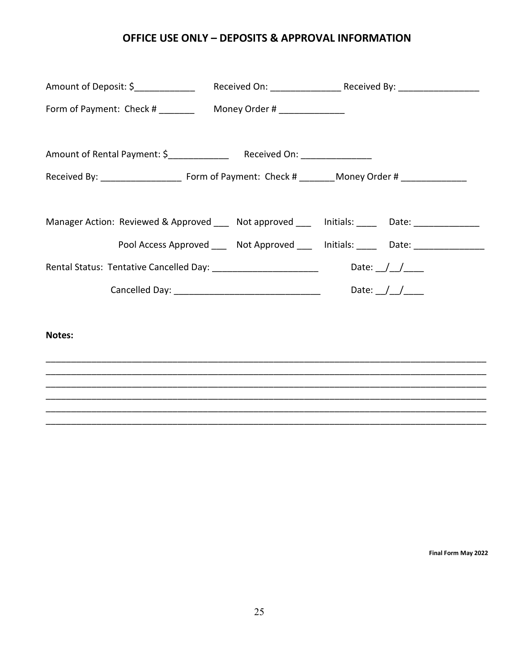#### **OFFICE USE ONLY – DEPOSITS & APPROVAL INFORMATION**

|                                                                                             | Manager Action: Reviewed & Approved ___ Not approved ___ Initials: ____ Date: _____________ |
|---------------------------------------------------------------------------------------------|---------------------------------------------------------------------------------------------|
|                                                                                             | Pool Access Approved _____ Not Approved ____ Initials: _____ Date: _____________            |
| Rental Status: Tentative Cancelled Day: __________________________________Date: __/__/_____ |                                                                                             |
|                                                                                             |                                                                                             |
|                                                                                             |                                                                                             |
| Notes:                                                                                      |                                                                                             |
|                                                                                             |                                                                                             |
|                                                                                             |                                                                                             |
|                                                                                             |                                                                                             |
|                                                                                             |                                                                                             |
|                                                                                             |                                                                                             |
|                                                                                             |                                                                                             |

**Final Form May 2022**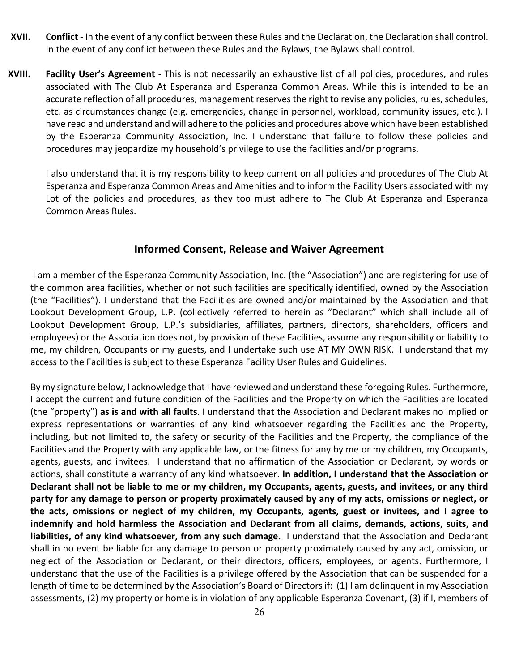- **XVII. Conflict** In the event of any conflict between these Rules and the Declaration, the Declaration shall control. In the event of any conflict between these Rules and the Bylaws, the Bylaws shall control.
- **XVIII. Facility User's Agreement -** This is not necessarily an exhaustive list of all policies, procedures, and rules associated with The Club At Esperanza and Esperanza Common Areas. While this is intended to be an accurate reflection of all procedures, management reserves the right to revise any policies, rules, schedules, etc. as circumstances change (e.g. emergencies, change in personnel, workload, community issues, etc.). I have read and understand and will adhere to the policies and procedures above which have been established by the Esperanza Community Association, Inc. I understand that failure to follow these policies and procedures may jeopardize my household's privilege to use the facilities and/or programs.

I also understand that it is my responsibility to keep current on all policies and procedures of The Club At Esperanza and Esperanza Common Areas and Amenities and to inform the Facility Users associated with my Lot of the policies and procedures, as they too must adhere to The Club At Esperanza and Esperanza Common Areas Rules.

#### **Informed Consent, Release and Waiver Agreement**

I am a member of the Esperanza Community Association, Inc. (the "Association") and are registering for use of the common area facilities, whether or not such facilities are specifically identified, owned by the Association (the "Facilities"). I understand that the Facilities are owned and/or maintained by the Association and that Lookout Development Group, L.P. (collectively referred to herein as "Declarant" which shall include all of Lookout Development Group, L.P.'s subsidiaries, affiliates, partners, directors, shareholders, officers and employees) or the Association does not, by provision of these Facilities, assume any responsibility or liability to me, my children, Occupants or my guests, and I undertake such use AT MY OWN RISK. I understand that my access to the Facilities is subject to these Esperanza Facility User Rules and Guidelines.

By my signature below, I acknowledge that I have reviewed and understand these foregoing Rules. Furthermore, I accept the current and future condition of the Facilities and the Property on which the Facilities are located (the "property") **as is and with all faults**. I understand that the Association and Declarant makes no implied or express representations or warranties of any kind whatsoever regarding the Facilities and the Property, including, but not limited to, the safety or security of the Facilities and the Property, the compliance of the Facilities and the Property with any applicable law, or the fitness for any by me or my children, my Occupants, agents, guests, and invitees. I understand that no affirmation of the Association or Declarant, by words or actions, shall constitute a warranty of any kind whatsoever. **In addition, I understand that the Association or Declarant shall not be liable to me or my children, my Occupants, agents, guests, and invitees, or any third party for any damage to person or property proximately caused by any of my acts, omissions or neglect, or the acts, omissions or neglect of my children, my Occupants, agents, guest or invitees, and I agree to indemnify and hold harmless the Association and Declarant from all claims, demands, actions, suits, and liabilities, of any kind whatsoever, from any such damage.** I understand that the Association and Declarant shall in no event be liable for any damage to person or property proximately caused by any act, omission, or neglect of the Association or Declarant, or their directors, officers, employees, or agents. Furthermore, I understand that the use of the Facilities is a privilege offered by the Association that can be suspended for a length of time to be determined by the Association's Board of Directors if: (1) I am delinquent in my Association assessments, (2) my property or home is in violation of any applicable Esperanza Covenant, (3) if I, members of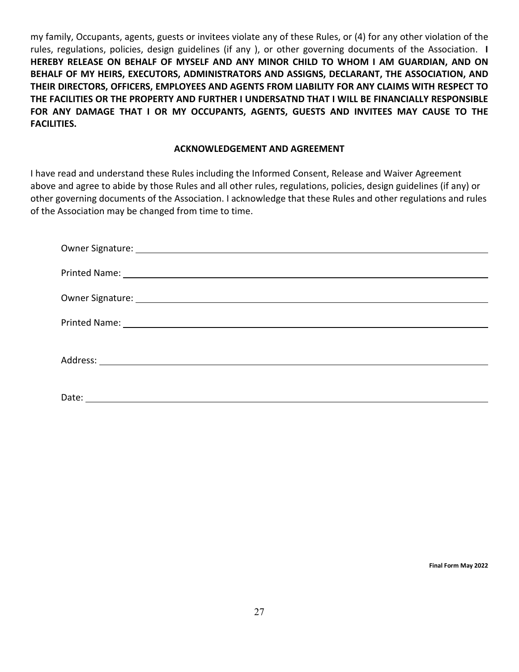my family, Occupants, agents, guests or invitees violate any of these Rules, or (4) for any other violation of the rules, regulations, policies, design guidelines (if any ), or other governing documents of the Association. **I HEREBY RELEASE ON BEHALF OF MYSELF AND ANY MINOR CHILD TO WHOM I AM GUARDIAN, AND ON BEHALF OF MY HEIRS, EXECUTORS, ADMINISTRATORS AND ASSIGNS, DECLARANT, THE ASSOCIATION, AND THEIR DIRECTORS, OFFICERS, EMPLOYEES AND AGENTS FROM LIABILITY FOR ANY CLAIMS WITH RESPECT TO THE FACILITIES OR THE PROPERTY AND FURTHER I UNDERSATND THAT I WILL BE FINANCIALLY RESPONSIBLE FOR ANY DAMAGE THAT I OR MY OCCUPANTS, AGENTS, GUESTS AND INVITEES MAY CAUSE TO THE FACILITIES.** 

#### **ACKNOWLEDGEMENT AND AGREEMENT**

I have read and understand these Rules including the Informed Consent, Release and Waiver Agreement above and agree to abide by those Rules and all other rules, regulations, policies, design guidelines (if any) or other governing documents of the Association. I acknowledge that these Rules and other regulations and rules of the Association may be changed from time to time.

| Owner Signature: 1999 Contract Contract Contract Contract Contract Contract Contract Contract Contract Contract Contract Contract Contract Contract Contract Contract Contract Contract Contract Contract Contract Contract Co |
|--------------------------------------------------------------------------------------------------------------------------------------------------------------------------------------------------------------------------------|
|                                                                                                                                                                                                                                |
|                                                                                                                                                                                                                                |
|                                                                                                                                                                                                                                |

**Final Form May 2022**